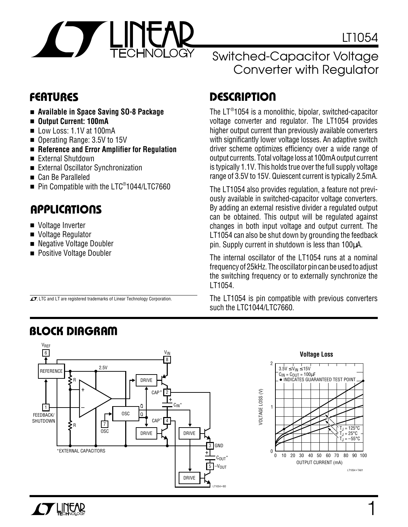

1

LT1054 • TA01

 $T_J$  = 125°C  $T_J = 25^{\circ}C$  $-55^{\circ}$ C

- **Available in Space Saving SO-8 Package**
- **Output Current: 100mA**
- Low Loss: 1.1V at 100mA
- Operating Range: 3.5V to 15V
- **Reference and Error Amplifier for Regulation**
- External Shutdown
- External Oscillator Synchronization
- Can Be Paralleled
- Pin Compatible with the LTC® 1044/LTC7660

 $\overline{\mathcal{A}}$ , LTC and LT are registered trademarks of Linear Technology Corporation.

### **U A S O PPLICATI**

- Voltage Inverter
- Voltage Regulator
- Negative Voltage Doubler
- Positive Voltage Doubler

### Switched-Capacitor Voltage Converter with Regulator

# **FEATURES D <sup>U</sup> ESCRIPTIO**

The LT® 1054 is a monolithic, bipolar, switched-capacitor voltage converter and regulator. The LT1054 provides higher output current than previously available converters with significantly lower voltage losses. An adaptive switch driver scheme optimizes efficiency over a wide range of output currents. Total voltage loss at 100mA output current is typically 1.1V. This holds true over the full supply voltage range of 3.5V to 15V. Quiescent current is typically 2.5mA.

The LT1054 also provides regulation, a feature not previously available in switched-capacitor voltage converters. By adding an external resistive divider a regulated output can be obtained. This output will be regulated against changes in both input voltage and output current. The LT1054 can also be shut down by grounding the feedback pin. Supply current in shutdown is less than 100µA.

The internal oscillator of the LT1054 runs at a nominal frequency of 25kHz. The oscillator pin can be used to adjust the switching frequency or to externally synchronize the LT1054.

The LT1054 is pin compatible with previous converters such the LTC1044/LTC7660.



# **BLOCK DIAGRAM**

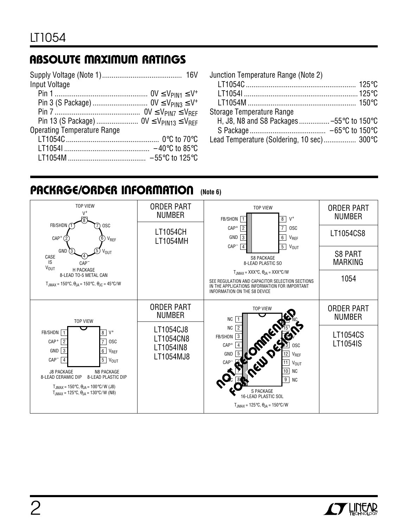# **ABSOLUTE MAXIMUM RATINGS**

| Input Voltage                      |  |
|------------------------------------|--|
|                                    |  |
|                                    |  |
|                                    |  |
|                                    |  |
| <b>Operating Temperature Range</b> |  |
|                                    |  |
|                                    |  |
|                                    |  |
|                                    |  |

| Junction Temperature Range (Note 2)        |  |
|--------------------------------------------|--|
|                                            |  |
|                                            |  |
|                                            |  |
| Storage Temperature Range                  |  |
| H, J8, N8 and S8 Packages  -55°C to 150°C  |  |
|                                            |  |
| Lead Temperature (Soldering, 10 sec) 300°C |  |

### **PACKAGE/ORDER INFORMATION (Note 6)**



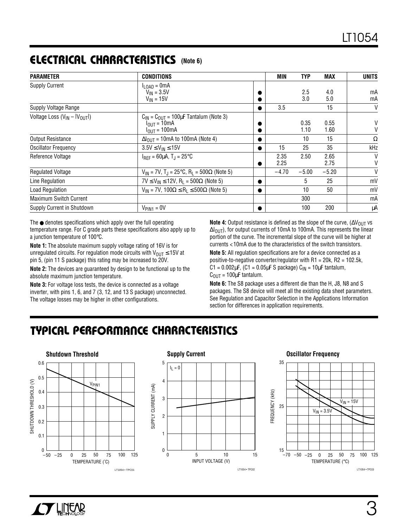## **ELECTRICAL C C HARA TERISTICS (Note 6)**

| <b>CONDITIONS</b><br><b>PARAMETER</b> |                                                                                          | MIN | <b>TYP</b>   | <b>MAX</b>   | <b>UNITS</b> |          |
|---------------------------------------|------------------------------------------------------------------------------------------|-----|--------------|--------------|--------------|----------|
| <b>Supply Current</b>                 | $I_{\text{LOAD}} = 0 \text{mA}$<br>$V_{IN} = 3.5V$<br>$V_{IN}$ = 15V                     |     |              | 2.5<br>3.0   | 4.0<br>5.0   | mA<br>mA |
| Supply Voltage Range                  |                                                                                          |     | 3.5          |              | 15           | V        |
| Voltage Loss $(V_{IN} -  V_{OUT} )$   | $C_{IN} = C_{OIII} = 100 \mu F$ Tantalum (Note 3)<br>$I_{OIII} = 10mA$<br>$IOUT = 100mA$ |     |              | 0.35<br>1.10 | 0.55<br>1.60 | V<br>V   |
| <b>Output Resistance</b>              | $\Delta I_{OIII}$ = 10mA to 100mA (Note 4)                                               |     |              | 10           | 15           | Ω        |
| <b>Oscillator Frequency</b>           | $3.5V \leq V_{IN} \leq 15V$                                                              |     | 15           | 25           | 35           | kHz      |
| Reference Voltage                     | $I_{RFF} = 60 \mu A$ , T <sub>.I</sub> = 25°C                                            |     | 2.35<br>2.25 | 2.50         | 2.65<br>2.75 | V<br>V   |
| <b>Regulated Voltage</b>              | $V_{IN}$ = 7V, T <sub>J</sub> = 25°C, R <sub>L</sub> = 500Ω (Note 5)                     |     | $-4.70$      | $-5.00$      | $-5.20$      | V        |
| Line Regulation                       | $7V \le V_{IN} \le 12V$ , R <sub>1</sub> = 500 $\Omega$ (Note 5)                         |     |              | 5            | 25           | mV       |
| Load Regulation                       | $V_{IN}$ = 7V, 100 $\Omega \le R_I \le 500\Omega$ (Note 5)                               |     |              | 10           | 50           | mV       |
| <b>Maximum Switch Current</b>         |                                                                                          |     |              | 300          |              | mA       |
| Supply Current in Shutdown            | $V_{PIN1} = 0V$                                                                          |     |              | 100          | 200          | μA       |

The ● denotes specifications which apply over the full operating temperature range. For C grade parts these specifications also apply up to a junction temperature of 100°C.

**Note 1:** The absolute maximum supply voltage rating of 16V is for unregulated circuits. For regulation mode circuits with  $V_{OUT} \le 15V$  at pin 5, (pin 11 S package) this rating may be increased to 20V.

**Note 2:** The devices are guaranteed by design to be functional up to the absolute maximum junction temperature.

**Note 3:** For voltage loss tests, the device is connected as a voltage inverter, with pins 1, 6, and 7 (3, 12, and 13 S package) unconnected. The voltage losses may be higher in other configurations.

Note 4: Output resistance is defined as the slope of the curve, (∆V<sub>OUT</sub> vs  $ΔI<sub>OlIT</sub>$ , for output currents of 10mA to 100mA. This represents the linear portion of the curve. The incremental slope of the curve will be higher at currents <10mA due to the characteristics of the switch transistors.

**Note 5:** All regulation specifications are for a device connected as a positive-to-negative converter/regulator with R1 = 20k, R2 = 102.5k,  $C1 = 0.002 \mu F$ ,  $(C1 = 0.05 \mu F S$  package)  $C_{1N} = 10 \mu F$  tantalum,  $C_{\text{OUT}} = 100 \mu F$  tantalum.

**Note 6:** The S8 package uses a different die than the H, J8, N8 and S packages. The S8 device will meet all the existing data sheet parameters. See Regulation and Capacitor Selection in the Applications Information section for differences in application requirements.

# **C C HARA TERISTICS U W TYPICAL PERFOR A CE**



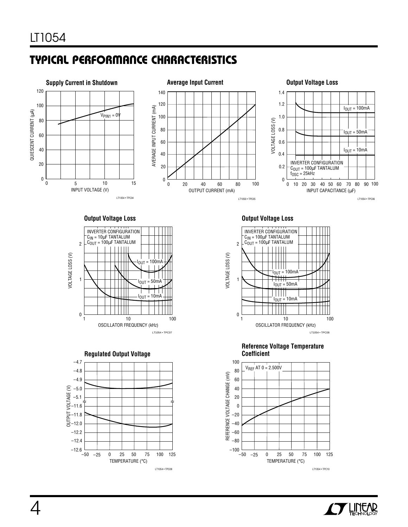# **C C HARA TERISTICS U W TYPICAL PERFOR A CE**



#### **Output Voltage Loss**





#### **Output Voltage Loss**







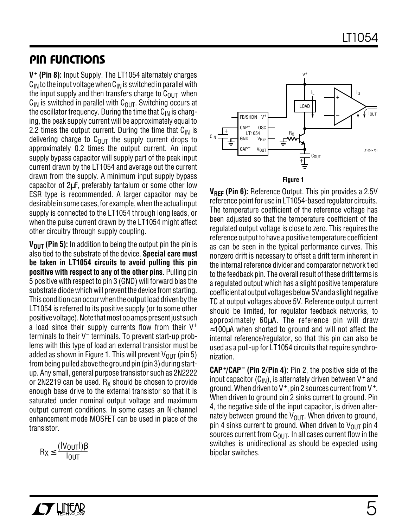### **PIN FUNCTIONS**

**V+ (Pin 8):** Input Supply. The LT1054 alternately charges  $C_{1N}$  to the input voltage when  $C_{1N}$  is switched in parallel with the input supply and then transfers charge to  $C<sub>OUT</sub>$  when  $C_{IN}$  is switched in parallel with  $C_{OUT}$ . Switching occurs at the oscillator frequency. During the time that  $C_{IN}$  is charging, the peak supply current will be approximately equal to 2.2 times the output current. During the time that  $C_{IN}$  is delivering charge to  $C<sub>OUT</sub>$  the supply current drops to approximately 0.2 times the output current. An input supply bypass capacitor will supply part of the peak input current drawn by the LT1054 and average out the current drawn from the supply. A minimum input supply bypass capacitor of 2µF, preferably tantalum or some other low ESR type is recommended. A larger capacitor may be desirable in some cases, for example, when the actual input supply is connected to the LT1054 through long leads, or when the pulse current drawn by the LT1054 might affect other circuitry through supply coupling.

**V<sub>OUT</sub>** (Pin 5): In addition to being the output pin the pin is also tied to the substrate of the device. **Special care must be taken in LT1054 circuits to avoid pulling this pin positive with respect to any of the other pins**. Pulling pin 5 positive with respect to pin 3 (GND) will forward bias the substrate diode which will prevent the device from starting. This condition can occur when the output load driven by the LT1054 is referred to its positive supply (or to some other positive voltage). Note that most op amps present just such a load since their supply currents flow from their V<sup>+</sup> terminals to their V– terminals. To prevent start-up problems with this type of load an external transistor must be added as shown in Figure 1. This will prevent  $V_{\text{OUT}}$  (pin 5) from being pulled above the ground pin (pin 3) during startup. Any small, general purpose transistor such as 2N2222 or 2N2219 can be used.  $R_X$  should be chosen to provide enough base drive to the external transistor so that it is saturated under nominal output voltage and maximum output current conditions. In some cases an N-channel enhancement mode MOSFET can be used in place of the transistor.

$$
R_X \leq \frac{(\vert V_{OUT} \vert) \beta}{I_{OUT}}
$$



**Figure 1**

**VREF (Pin 6):** Reference Output. This pin provides a 2.5V reference point for use in LT1054-based regulator circuits. The temperature coefficient of the reference voltage has been adjusted so that the temperature coefficient of the regulated output voltage is close to zero. This requires the reference output to have a positive temperature coefficient as can be seen in the typical performance curves. This nonzero drift is necessary to offset a drift term inherent in the internal reference divider and comparator network tied to the feedback pin. The overall result of these drift terms is a regulated output which has a slight positive temperature coefficient at output voltages below 5V and a slight negative TC at output voltages above 5V. Reference output current should be limited, for regulator feedback networks, to approximately 60µA. The reference pin will draw ≈100µA when shorted to ground and will not affect the internal reference/regulator, so that this pin can also be used as a pull-up for LT1054 circuits that require synchronization.

**CAP<sup>+</sup> /CAP– (Pin 2/Pin 4):** Pin 2, the positive side of the input capacitor  $(C_{1N})$ , is alternately driven between V<sup>+</sup> and ground. When driven to  $V^+$ , pin 2 sources current from  $V^+$ . When driven to ground pin 2 sinks current to ground. Pin 4, the negative side of the input capacitor, is driven alternately between ground the  $V_{\text{OUT}}$ . When driven to ground, pin 4 sinks current to ground. When driven to  $V_{\text{OUT}}$  pin 4 sources current from  $C_{\text{OUT}}$ . In all cases current flow in the switches is unidirectional as should be expected using bipolar switches.

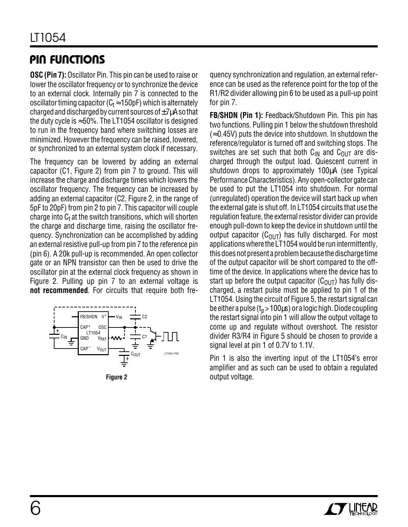### **PIN FUNCTIONS**

**OSC (Pin 7):** Oscillator Pin. This pin can be used to raise or lower the oscillator frequency or to synchronize the device to an external clock. Internally pin 7 is connected to the oscillator timing capacitor ( $C_t \approx 150$  pF) which is alternately charged and discharged by current sources of  $\pm 7\mu$ A so that the duty cycle is  $\approx$  50%. The LT1054 oscillator is designed to run in the frequency band where switching losses are minimized. However the frequency can be raised, lowered, or synchronized to an external system clock if necessary.

The frequency can be lowered by adding an external capacitor (C1, Figure 2) from pin 7 to ground. This will increase the charge and discharge times which lowers the oscillator frequency. The frequency can be increased by adding an external capacitor (C2, Figure 2, in the range of 5pF to 20pF) from pin 2 to pin 7. This capacitor will couple charge into  $C<sub>t</sub>$  at the switch transitions, which will shorten the charge and discharge time, raising the oscillator frequency. Synchronization can be accomplished by adding an external resistive pull-up from pin 7 to the reference pin (pin 6). A 20k pull-up is recommended. An open collector gate or an NPN transistor can then be used to drive the oscillator pin at the external clock frequency as shown in Figure 2. Pulling up pin 7 to an external voltage is **not recommended**. For circuits that require both fre-



quency synchronization and regulation, an external reference can be used as the reference point for the top of the R1/R2 divider allowing pin 6 to be used as a pull-up point for pin 7.

**FB/SHDN (Pin 1):** Feedback/Shutdown Pin. This pin has two functions. Pulling pin 1 below the shutdown threshold  $\approx$  0.45V) puts the device into shutdown. In shutdown the reference/regulator is turned off and switching stops. The switches are set such that both  $C_{IN}$  and  $C_{OUT}$  are discharged through the output load. Quiescent current in shutdown drops to approximately 100µA (see Typical Performance Characteristics). Any open-collector gate can be used to put the LT1054 into shutdown. For normal (unregulated) operation the device will start back up when the external gate is shut off. In LT1054 circuits that use the regulation feature, the external resistor divider can provide enough pull-down to keep the device in shutdown until the output capacitor ( $C_{\text{OUT}}$ ) has fully discharged. For most applications where the LT1054 would be run intermittently, this does not present a problem because the discharge time of the output capacitor will be short compared to the offtime of the device. In applications where the device has to start up before the output capacitor  $(C_{\text{OUT}})$  has fully discharged, a restart pulse must be applied to pin 1 of the LT1054. Using the circuit of Figure 5, the restart signal can be either a pulse ( $t_p$  > 100 $\mu$ s) or a logic high. Diode coupling the restart signal into pin 1 will allow the output voltage to come up and regulate without overshoot. The resistor divider R3/R4 in Figure 5 should be chosen to provide a signal level at pin 1 of 0.7V to 1.1V.

Pin 1 is also the inverting input of the LT1054's error amplifier and as such can be used to obtain a regulated **Figure 2** output voltage.

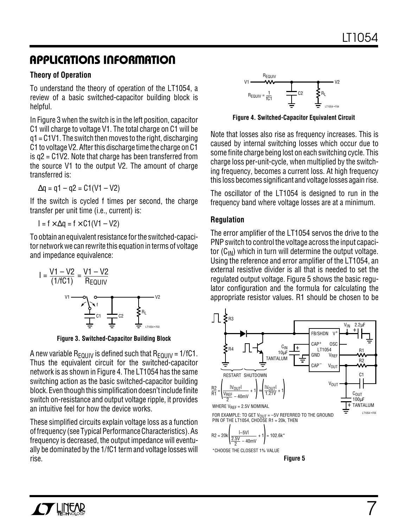### **APPLICATIONS INFORMATION U W U U**

### **Theory of Operation**

To understand the theory of operation of the LT1054, a review of a basic switched-capacitor building block is helpful.

In Figure 3 when the switch is in the left position, capacitor C1 will charge to voltage V1. The total charge on C1 will be q1 = C1V1. The switch then moves to the right, discharging C1 to voltage V2. After this discharge time the charge on C1 is q2 = C1V2. Note that charge has been transferred from the source V1 to the output V2. The amount of charge transferred is:

 $\Delta q = q1 - q2 = C1(V1 - V2)$ 

If the switch is cycled f times per second, the charge transfer per unit time (i.e., current) is:

 $I = f \times \Delta q = f \times C1(V1 - V2)$ 

To obtain an equivalent resistance for the switched-capacitor network we can rewrite this equation in terms of voltage and impedance equivalence:

$$
I = \frac{V1 - V2}{(1/fC1)} = \frac{V1 - V2}{R_E QUIV}
$$
  

$$
V1 \longrightarrow Q \qquad Q \qquad V2
$$
  

$$
V1 \longrightarrow Q \qquad Q \qquad V2
$$
  

$$
V1 \longrightarrow Q \qquad Q \qquad V2
$$
  

$$
V1 \longrightarrow Q \qquad V2
$$
  

$$
V3 \qquad V4 \qquad V5
$$
  

$$
V5 \qquad V4
$$
  

$$
V1 \qquad V5
$$
  

$$
V1 \qquad V2
$$
  

$$
V4 \qquad V5
$$
  

$$
V5
$$
  

$$
V1 \qquad V2
$$

**Figure 3. Switched-Capacitor Building Block**

A new variable R<sub>EQUIV</sub> is defined such that  $R_{FQUIV}$  = 1/fC1. Thus the equivalent circuit for the switched-capacitor network is as shown in Figure 4. The LT1054 has the same switching action as the basic switched-capacitor building block. Even though this simplification doesn't include finite switch on-resistance and output voltage ripple, it provides an intuitive feel for how the device works.

These simplified circuits explain voltage loss as a function of frequency (see Typical Performance Characteristics). As frequency is decreased, the output impedance will eventually be dominated by the 1/fC1 term and voltage losses will rise.



**Figure 4. Switched-Capacitor Equivalent Circuit**

Note that losses also rise as frequency increases. This is caused by internal switching losses which occur due to some finite charge being lost on each switching cycle. This charge loss per-unit-cycle, when multiplied by the switching frequency, becomes a current loss. At high frequency this loss becomes significant and voltage losses again rise.

The oscillator of the LT1054 is designed to run in the frequency band where voltage losses are at a minimum.

### **Regulation**

The error amplifier of the LT1054 servos the drive to the PNP switch to control the voltage across the input capacitor  $(C_{1N})$  which in turn will determine the output voltage. Using the reference and error amplifier of the LT1054, an external resistive divider is all that is needed to set the regulated output voltage. Figure 5 shows the basic regulator configuration and the formula for calculating the appropriate resistor values. R1 should be chosen to be



$$
R2 = 20k \left( \frac{1 - 5V1}{\frac{2.5V}{2} - 40mV} + 1 \right) = 102.6k^*
$$

\*CHOOSE THE CLOSEST 1% VALUE

**Figure 5**

7

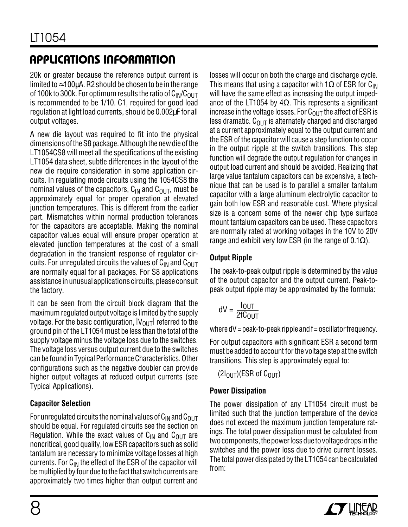# **APPLICATIONS INFORMATION U W U U**

20k or greater because the reference output current is limited to  $\approx$  100 $\mu$ A. R2 should be chosen to be in the range of 100k to 300k. For optimum results the ratio of  $C_{IN}/C_{OUT}$ is recommended to be 1/10. C1, required for good load regulation at light load currents, should be 0.002µF for all output voltages.

A new die layout was required to fit into the physical dimensions of the S8 package. Although the new die of the LT1054CS8 will meet all the specifications of the existing LT1054 data sheet, subtle differences in the layout of the new die require consideration in some application circuits. In regulating mode circuits using the 1054CS8 the nominal values of the capacitors,  $C_{IN}$  and  $C_{OUIT}$ , must be approximately equal for proper operation at elevated junction temperatures. This is different from the earlier part. Mismatches within normal production tolerances for the capacitors are acceptable. Making the nominal capacitor values equal will ensure proper operation at elevated junction temperatures at the cost of a small degradation in the transient response of regulator circuits. For unregulated circuits the values of  $C_{IN}$  and  $C_{OUT}$ are normally equal for all packages. For S8 applications assistance in unusual applications circuits, please consult the factory.

It can be seen from the circuit block diagram that the maximum regulated output voltage is limited by the supply voltage. For the basic configuration,  $|V_{OUT}|$  referred to the ground pin of the LT1054 must be less than the total of the supply voltage minus the voltage loss due to the switches. The voltage loss versus output current due to the switches can be found in Typical Performance Characteristics. Other configurations such as the negative doubler can provide higher output voltages at reduced output currents (see Typical Applications).

### **Capacitor Selection**

For unregulated circuits the nominal values of  $C_{IN}$  and  $C_{OUT}$ should be equal. For regulated circuits see the section on Regulation. While the exact values of  $C_{IN}$  and  $C_{OUT}$  are noncritical, good quality, low ESR capacitors such as solid tantalum are necessary to minimize voltage losses at high currents. For  $C_{IN}$  the effect of the ESR of the capacitor will be multiplied by four due to the fact that switch currents are approximately two times higher than output current and losses will occur on both the charge and discharge cycle. This means that using a capacitor with 1 $\Omega$  of ESR for C<sub>IN</sub> will have the same effect as increasing the output impedance of the LT1054 by 4 $\Omega$ . This represents a significant increase in the voltage losses. For  $C_{OUT}$  the affect of ESR is less dramatic.  $C<sub>OUT</sub>$  is alternately charged and discharged at a current approximately equal to the output current and the ESR of the capacitor will cause a step function to occur in the output ripple at the switch transitions. This step function will degrade the output regulation for changes in output load current and should be avoided. Realizing that large value tantalum capacitors can be expensive, a technique that can be used is to parallel a smaller tantalum capacitor with a large aluminum electrolytic capacitor to gain both low ESR and reasonable cost. Where physical size is a concern some of the newer chip type surface mount tantalum capacitors can be used. These capacitors are normally rated at working voltages in the 10V to 20V range and exhibit very low ESR (in the range of 0.1 $\Omega$ ).

### **Output Ripple**

The peak-to-peak output ripple is determined by the value of the output capacitor and the output current. Peak-topeak output ripple may be approximated by the formula:

$$
dV = \frac{I_{OUT}}{2fC_{OUT}}
$$

where  $dV = peak-to-peak$  ripple and  $f = oscillator$  frequency.

For output capacitors with significant ESR a second term must be added to account for the voltage step at the switch transitions. This step is approximately equal to:

 $(2I<sub>OlIT</sub>)(ESR of C<sub>OlIT</sub>)$ 

### **Power Dissipation**

The power dissipation of any LT1054 circuit must be limited such that the junction temperature of the device does not exceed the maximum junction temperature ratings. The total power dissipation must be calculated from two components, the power loss due to voltage drops in the switches and the power loss due to drive current losses. The total power dissipated by the LT1054 can be calculated from:

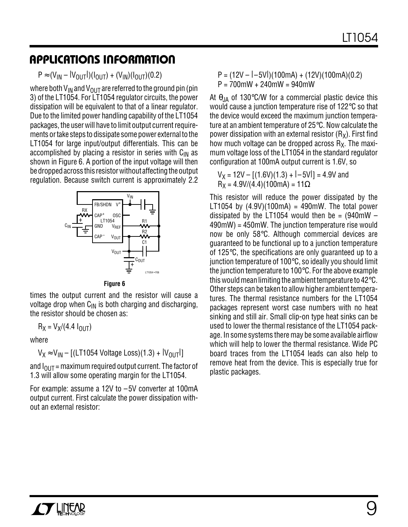### **APPLICATIONS INFORMATION U W U U**

 $P \approx (V_{IN} - |V_{OII}||)(I_{OIII}) + (V_{IN})(I_{OIII})(0.2)$ 

where both V<sub>IN</sub> and V<sub>OUT</sub> are referred to the ground pin (pin 3) of the LT1054. For LT1054 regulator circuits, the power dissipation will be equivalent to that of a linear regulator. Due to the limited power handling capability of the LT1054 packages, the user will have to limit output current requirements or take steps to dissipate some power external to the LT1054 for large input/output differentials. This can be accomplished by placing a resistor in series with  $C_{IN}$  as shown in Figure 6. A portion of the input voltage will then be dropped across this resistor without affecting the output regulation. Because switch current is approximately 2.2



**Figure 6**

times the output current and the resistor will cause a voltage drop when  $C_{IN}$  is both charging and discharging, the resistor should be chosen as:

 $R_X = V_X/(4.4 I_{011T})$ 

where

 $V_X \approx V_{IN} - [(LT1054 \text{ Voltage Loss})(1.3) + |V_{OUT}|]$ 

and  $I_{\text{OUT}}$  = maximum required output current. The factor of 1.3 will allow some operating margin for the LT1054.

For example: assume a 12V to –5V converter at 100mA output current. First calculate the power dissipation without an external resistor:

 $P = (12V - (-5V)) (100mA) + (12V)(100mA)(0.2)$ P = 700mW + 240mW = 940mW

At  $\theta_{JA}$  of 130°C/W for a commercial plastic device this would cause a junction temperature rise of 122°C so that the device would exceed the maximum junction temperature at an ambient temperature of 25°C. Now calculate the power dissipation with an external resistor  $(R_X)$ . First find how much voltage can be dropped across  $R_X$ . The maximum voltage loss of the LT1054 in the standard regulator configuration at 100mA output current is 1.6V, so

 $V_X = 12V - [(1.6V)(1.3) + (-5V)] = 4.9V$  and  $R_X = 4.9V/(4.4)(100mA) = 11\Omega$ 

This resistor will reduce the power dissipated by the LT1054 by  $(4.9V)(100mA) = 490mW$ . The total power dissipated by the LT1054 would then be =  $(940 \text{mW} -$ 490mW) = 450mW. The junction temperature rise would now be only 58°C. Although commercial devices are guaranteed to be functional up to a junction temperature of 125°C, the specifications are only guaranteed up to a junction temperature of 100°C, so ideally you should limit the junction temperature to 100°C. For the above example this would mean limiting the ambient temperature to 42°C. Other steps can be taken to allow higher ambient temperatures. The thermal resistance numbers for the LT1054 packages represent worst case numbers with no heat sinking and still air. Small clip-on type heat sinks can be used to lower the thermal resistance of the LT1054 package. In some systems there may be some available airflow which will help to lower the thermal resistance. Wide PC board traces from the LT1054 leads can also help to remove heat from the device. This is especially true for plastic packages.

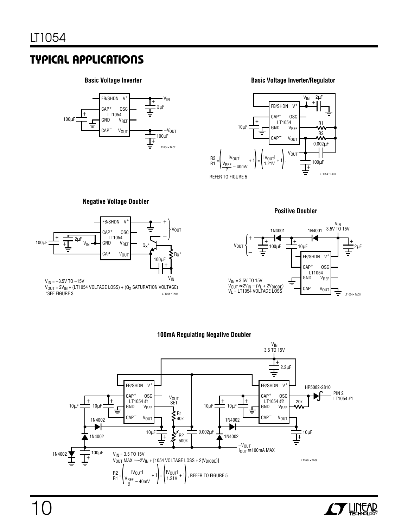### **Basic Voltage Inverter**



**Basic Voltage Inverter/Regulator**



#### **Negative Voltage Doubler**



#### **Positive Doubler**



#### **100mA Regulating Negative Doubler**



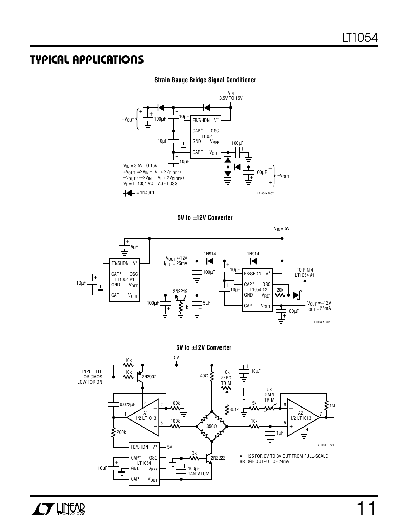#### **Strain Gauge Bridge Signal Conditioner**









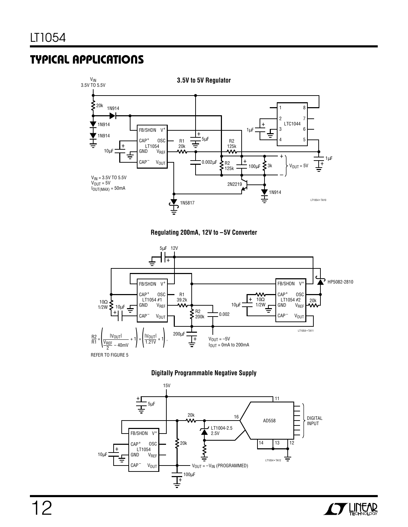









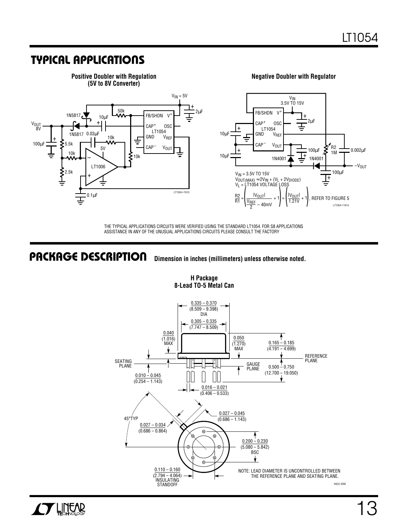

THE TYPICAL APPLICATIONS CIRCUITS WERE VERIFIED USING THE STANDARD LT1054. FOR S8 APPLICATIONS ASSISTANCE IN ANY OF THE UNUSUAL APPLICATIONS CIRCUITS PLEASE CONSULT THE FACTORY

#### **Dimension in inches (millimeters) unless otherwise noted. PACKAGE DESCRIPTION U**



#### **H Package 8-Lead TO-5 Metal Can**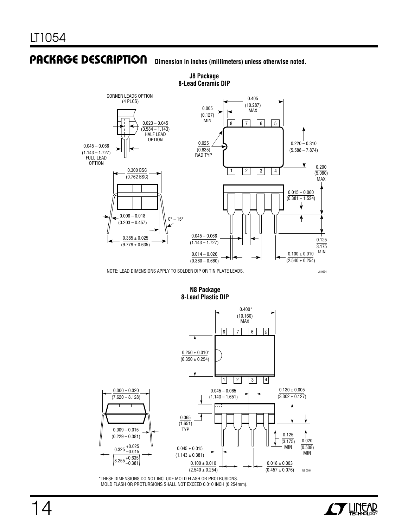#### **Dimension in inches (millimeters) unless otherwise noted. PACKAGE DESCRIPTION**



**J8 Package 8-Lead Ceramic DIP**

NOTE: LEAD DIMENSIONS APPLY TO SOLDER DIP OR TIN PLATE LEADS.

#### **N8 Package 8-Lead Plastic DIP**



\*THESE DIMENSIONS DO NOT INCLUDE MOLD FLASH OR PROTRUSIONS. MOLD FLASH OR PROTURSIONS SHALL NOT EXCEED 0.010 INCH (0.254mm).



J8 0694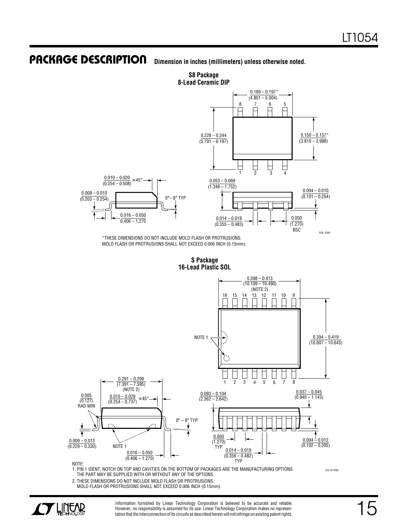#### **Dimension in inches (millimeters) unless otherwise noted. PACKAGE DESCRIPTION**



\*THESE DIMENSIONS DO NOT INCLUDE MOLD FLASH OR PROTRUSIONS. MOLD FLASH OR PROTRUSIONS SHALL NOT EXCEED 0.006 INCH (0.15mm).

> **S Package 16-Lead Plastic SOL**



1. PIN 1 IDENT, NOTCH ON TOP AND CAVITIES ON THE BOTTOM OF PACKAGES ARE THE MANUFACTURING OPTIONS. THE PART MAY BE SUPPLIED WITH OR WITHOUT ANY OF THE OPTIONS.

2. THESE DIMENSIONS DO NOT INCLUDE MOLD FLASH OR PROTRUSIONS. MOLD FLASH OR PROTRUSIONS SHALL NOT EXCEED 0.006 INCH (0.15mm).



Information furnished by Linear Technology Corporation is believed to be accurate and reliable. However, no responsibility is assumed for its use. Linear Technology Corporation makes no representation that the interconnection of its circuits as described herein will not infringe on existing patent rights.